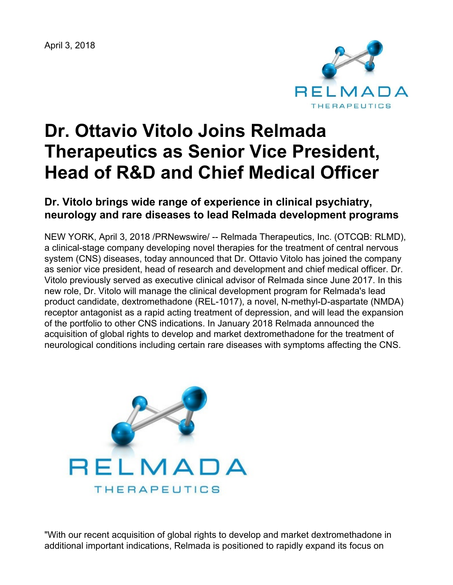April 3, 2018



# **Dr. Ottavio Vitolo Joins Relmada Therapeutics as Senior Vice President, Head of R&D and Chief Medical Officer**

# **Dr. Vitolo brings wide range of experience in clinical psychiatry, neurology and rare diseases to lead Relmada development programs**

NEW YORK, April 3, 2018 /PRNewswire/ -- Relmada Therapeutics, Inc. (OTCQB: RLMD), a clinical-stage company developing novel therapies for the treatment of central nervous system (CNS) diseases, today announced that Dr. Ottavio Vitolo has joined the company as senior vice president, head of research and development and chief medical officer. Dr. Vitolo previously served as executive clinical advisor of Relmada since June 2017. In this new role, Dr. Vitolo will manage the clinical development program for Relmada's lead product candidate, dextromethadone (REL-1017), a novel, N-methyl-D-aspartate (NMDA) receptor antagonist as a rapid acting treatment of depression, and will lead the expansion of the portfolio to other CNS indications. In January 2018 Relmada announced the acquisition of global rights to develop and market dextromethadone for the treatment of neurological conditions including certain rare diseases with symptoms affecting the CNS.



"With our recent acquisition of global rights to develop and market dextromethadone in additional important indications, Relmada is positioned to rapidly expand its focus on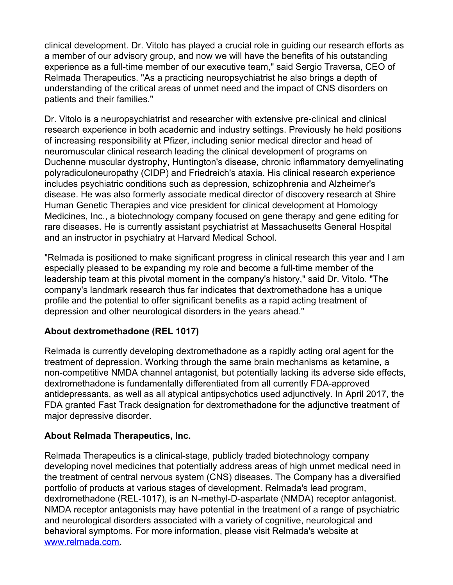clinical development. Dr. Vitolo has played a crucial role in guiding our research efforts as a member of our advisory group, and now we will have the benefits of his outstanding experience as a full-time member of our executive team," said Sergio Traversa, CEO of Relmada Therapeutics. "As a practicing neuropsychiatrist he also brings a depth of understanding of the critical areas of unmet need and the impact of CNS disorders on patients and their families."

Dr. Vitolo is a neuropsychiatrist and researcher with extensive pre-clinical and clinical research experience in both academic and industry settings. Previously he held positions of increasing responsibility at Pfizer, including senior medical director and head of neuromuscular clinical research leading the clinical development of programs on Duchenne muscular dystrophy, Huntington's disease, chronic inflammatory demyelinating polyradiculoneuropathy (CIDP) and Friedreich's ataxia. His clinical research experience includes psychiatric conditions such as depression, schizophrenia and Alzheimer's disease. He was also formerly associate medical director of discovery research at Shire Human Genetic Therapies and vice president for clinical development at Homology Medicines, Inc., a biotechnology company focused on gene therapy and gene editing for rare diseases. He is currently assistant psychiatrist at Massachusetts General Hospital and an instructor in psychiatry at Harvard Medical School.

"Relmada is positioned to make significant progress in clinical research this year and I am especially pleased to be expanding my role and become a full-time member of the leadership team at this pivotal moment in the company's history," said Dr. Vitolo. "The company's landmark research thus far indicates that dextromethadone has a unique profile and the potential to offer significant benefits as a rapid acting treatment of depression and other neurological disorders in the years ahead."

## **About dextromethadone (REL 1017)**

Relmada is currently developing dextromethadone as a rapidly acting oral agent for the treatment of depression. Working through the same brain mechanisms as ketamine, a non-competitive NMDA channel antagonist, but potentially lacking its adverse side effects, dextromethadone is fundamentally differentiated from all currently FDA-approved antidepressants, as well as all atypical antipsychotics used adjunctively. In April 2017, the FDA granted Fast Track designation for dextromethadone for the adjunctive treatment of major depressive disorder.

# **About Relmada Therapeutics, Inc.**

Relmada Therapeutics is a clinical-stage, publicly traded biotechnology company developing novel medicines that potentially address areas of high unmet medical need in the treatment of central nervous system (CNS) diseases. The Company has a diversified portfolio of products at various stages of development. Relmada's lead program, dextromethadone (REL-1017), is an N-methyl-D-aspartate (NMDA) receptor antagonist. NMDA receptor antagonists may have potential in the treatment of a range of psychiatric and neurological disorders associated with a variety of cognitive, neurological and behavioral symptoms. For more information, please visit Relmada's website at [www.relmada.com](http://www.relmada.com/).